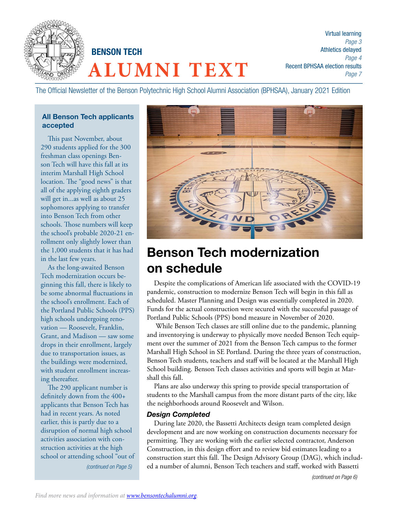

The Official Newsletter of the Benson Polytechnic High School Alumni Association (BPHSAA), January 2021 Edition

#### All Benson Tech applicants accepted

This past November, about 290 students applied for the 300 freshman class openings Benson Tech will have this fall at its interim Marshall High School location. The "good news" is that all of the applying eighth graders will get in...as well as about 25 sophomores applying to transfer into Benson Tech from other schools. Those numbers will keep the school's probable 2020-21 enrollment only slightly lower than the 1,000 students that it has had in the last few years.

As the long-awaited Benson Tech modernization occurs beginning this fall, there is likely to be some abnormal fluctuations in the school's enrollment. Each of the Portland Public Schools (PPS) high schools undergoing renovation — Roosevelt, Franklin, Grant, and Madison — saw some drops in their enrollment, largely due to transportation issues, as the buildings were modernized, with student enrollment increasing thereafter.

The 290 applicant number is definitely down from the 400+ applicants that Benson Tech has had in recent years. As noted earlier, this is partly due to a disruption of normal high school activities association with construction activities at the high school or attending school "out of *(continued on Page 5)*



# Benson Tech modernization on schedule

Despite the complications of American life associated with the COVID-19 pandemic, construction to modernize Benson Tech will begin in this fall as scheduled. Master Planning and Design was essentially completed in 2020. Funds for the actual construction were secured with the successful passage of Portland Public Schools (PPS) bond measure in November of 2020.

 While Benson Tech classes are still online due to the pandemic, planning and inventorying is underway to physically move needed Benson Tech equipment over the summer of 2021 from the Benson Tech campus to the former Marshall High School in SE Portland. During the three years of construction, Benson Tech students, teachers and staff will be located at the Marshall High School building. Benson Tech classes activities and sports will begin at Marshall this fall.

Plans are also underway this spring to provide special transportation of students to the Marshall campus from the more distant parts of the city, like the neighborhoods around Roosevelt and Wilson.

#### *Design Completed*

During late 2020, the Bassetti Architects design team completed design development and are now working on construction documents necessary for permitting. They are working with the earlier selected contractor, Anderson Construction, in this design effort and to review bid estimates leading to a construction start this fall. The Design Advisory Group (DAG), which included a number of alumni, Benson Tech teachers and staff, worked with Bassetti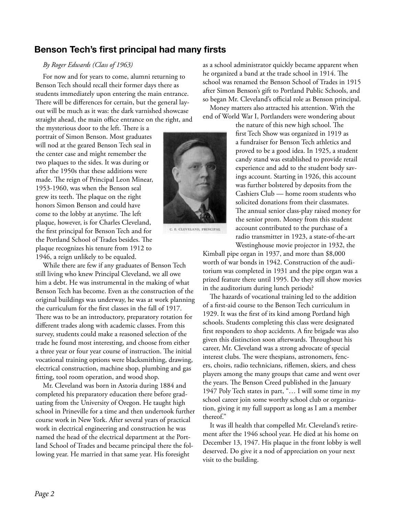## Benson Tech's first principal had many firsts

#### *By Roger Edwards (Class of 1963)*

For now and for years to come, alumni returning to Benson Tech should recall their former days there as students immediately upon entering the main entrance. There will be differences for certain, but the general layout will be much as it was: the dark varnished showcase straight ahead, the main office entrance on the right, and

the mysterious door to the left. There is a portrait of Simon Benson. Most graduates will nod at the geared Benson Tech seal in the center case and might remember the two plaques to the sides. It was during or after the 1950s that these additions were made. The reign of Principal Leon Minear, 1953-1960, was when the Benson seal grew its teeth. The plaque on the right honors Simon Benson and could have come to the lobby at anytime. The left plaque, however, is for Charles Cleveland, the first principal for Benson Tech and for the Portland School of Trades besides. The plaque recognizes his tenure from 1912 to 1946, a reign unlikely to be equaled.

While there are few if any graduates of Benson Tech still living who knew Principal Cleveland, we all owe him a debt. He was instrumental in the making of what Benson Tech has become. Even as the construction of the original buildings was underway, he was at work planning the curriculum for the first classes in the fall of 1917. There was to be an introductory, preparatory rotation for different trades along with academic classes. From this survey, students could make a reasoned selection of the trade he found most interesting, and choose from either a three year or four year course of instruction. The initial vocational training options were blacksmithing, drawing, electrical construction, machine shop, plumbing and gas fitting, tool room operation, and wood shop.

Mr. Cleveland was born in Astoria during 1884 and completed his preparatory education there before graduating from the University of Oregon. He taught high school in Prineville for a time and then undertook further course work in New York. After several years of practical work in electrical engineering and construction he was named the head of the electrical department at the Portland School of Trades and became principal there the following year. He married in that same year. His foresight

as a school administrator quickly became apparent when he organized a band at the trade school in 1914. The school was renamed the Benson School of Trades in 1915 after Simon Benson's gift to Portland Public Schools, and so began Mr. Cleveland's official role as Benson principal.

Money matters also attracted his attention. With the end of World War I, Portlanders were wondering about

the nature of this new high school. The first Tech Show was organized in 1919 as a fundraiser for Benson Tech athletics and proved to be a good idea. In 1925, a student candy stand was established to provide retail experience and add to the student body savings account. Starting in 1926, this account was further bolstered by deposits from the Cashiers Club — home room students who solicited donations from their classmates. The annual senior class-play raised money for the senior prom. Money from this student account contributed to the purchase of a radio transmitter in 1923, a state-of-the-art Westinghouse movie projector in 1932, the

Kimball pipe organ in 1937, and more than \$8,000 worth of war bonds in 1942. Construction of the auditorium was completed in 1931 and the pipe organ was a prized feature there until 1995. Do they still show movies in the auditorium during lunch periods?

The hazards of vocational training led to the addition of a first-aid course to the Benson Tech curriculum in 1929. It was the first of its kind among Portland high schools. Students completing this class were designated first responders to shop accidents. A fire brigade was also given this distinction soon afterwards. Throughout his career, Mr. Cleveland was a strong advocate of special interest clubs. The were thespians, astronomers, fencers, choirs, radio technicians, riflemen, skiers, and chess players among the many groups that came and went over the years. The Benson Creed published in the January 1947 Poly Tech states in part, "… I will some time in my school career join some worthy school club or organization, giving it my full support as long as I am a member thereof."

It was ill health that compelled Mr. Cleveland's retirement after the 1946 school year. He died at his home on December 13, 1947. His plaque in the front lobby is well deserved. Do give it a nod of appreciation on your next visit to the building.



C. E. CLEVELAND, PRINCIPAL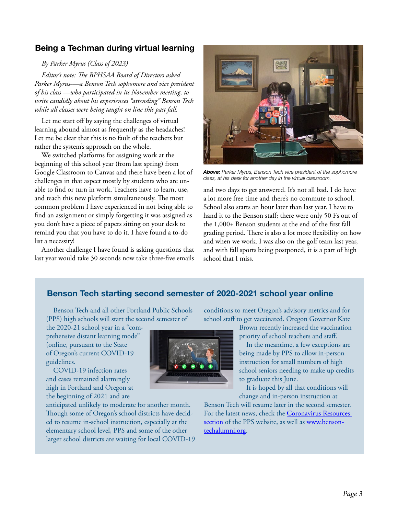## Being a Techman during virtual learning

#### *By Parker Myrus (Class of 2023)*

*Editor's note: The BPHSAA Board of Directors asked Parker Myrus-—a Benson Tech sophomore and vice president of his class —who participated in its November meeting, to write candidly about his experiences "attending" Benson Tech while all classes were being taught on line this past fall.*

Let me start off by saying the challenges of virtual learning abound almost as frequently as the headaches! Let me be clear that this is no fault of the teachers but rather the system's approach on the whole.

We switched platforms for assigning work at the beginning of this school year (from last spring) from Google Classroom to Canvas and there have been a lot of challenges in that aspect mostly by students who are unable to find or turn in work. Teachers have to learn, use, and teach this new platform simultaneously. The most common problem I have experienced in not being able to find an assignment or simply forgetting it was assigned as you don't have a piece of papers sitting on your desk to remind you that you have to do it. I have found a to-do list a necessity!

Another challenge I have found is asking questions that last year would take 30 seconds now take three-five emails



*Above: Parker Myrus, Benson Tech vice president of the sophomore class, at his desk for another day in the virtual classroom.*

and two days to get answered. It's not all bad. I do have a lot more free time and there's no commute to school. School also starts an hour later than last year. I have to hand it to the Benson staff; there were only 50 Fs out of the 1,000+ Benson students at the end of the first fall grading period. There is also a lot more flexibility on how and when we work. I was also on the golf team last year, and with fall sports being postponed, it is a part of high school that I miss.

## Benson Tech starting second semester of 2020-2021 school year online

Benson Tech and all other Portland Public Schools (PPS) high schools will start the second semester of

the 2020-21 school year in a "comprehensive distant learning mode" (online, pursuant to the State of Oregon's current COVID-19 guidelines.

COVID-19 infection rates and cases remained alarmingly high in Portland and Oregon at the beginning of 2021 and are

anticipated unlikely to moderate for another month. Though some of Oregon's school districts have decided to resume in-school instruction, especially at the elementary school level, PPS and some of the other larger school districts are waiting for local COVID-19



Brown recently increased the vaccination priority of school teachers and staff.

In the meantime, a few exceptions are being made by PPS to allow in-person instruction for small numbers of high school seniors needing to make up credits to graduate this June.

It is hoped by all that conditions will change and in-person instruction at

Benson Tech will resume later in the second semester. For the latest news, check the Coronavirus Resources section of the PPS website, as well as www.bensontechalumni.org.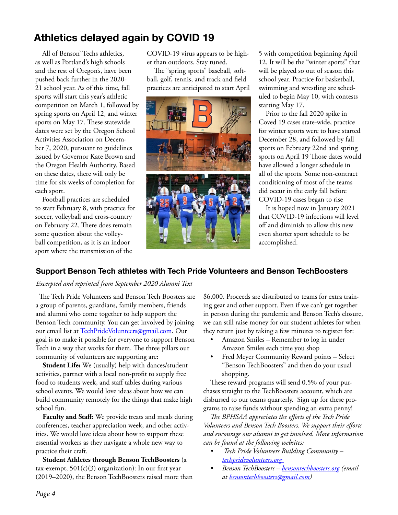## Athletics delayed again by COVID 19

All of Benson' Techs athletics, as well as Portland's high schools and the rest of Oregon's, have been pushed back further in the 2020- 21 school year. As of this time, fall sports will start this year's athletic competition on March 1, followed by spring sports on April 12, and winter sports on May 17. These statewide dates were set by the Oregon School Activities Association on December 7, 2020, pursuant to guidelines issued by Governor Kate Brown and the Oregon Health Authority. Based on these dates, there will only be time for six weeks of completion for each sport.

Football practices are scheduled to start February 8, with practice for soccer, volleyball and cross-country on February 22. There does remain some question about the volleyball competition, as it is an indoor sport where the transmission of the

COVID-19 virus appears to be higher than outdoors. Stay tuned.

The "spring sports" baseball, softball, golf, tennis, and track and field practices are anticipated to start April



5 with competition beginning April 12. It will be the "winter sports" that will be played so out of season this school year. Practice for basketball, swimming and wrestling are scheduled to begin May 10, with contests starting May 17.

Prior to the fall 2020 spike in Coved 19 cases state-wide, practice for winter sports were to have started December 28, and followed by fall sports on February 22nd and spring sports on April 19 Those dates would have allowed a longer schedule in all of the sports. Some non-contract conditioning of most of the teams did occur in the early fall before COVID-19 cases began to rise

It is hoped now in January 2021 that COVID-19 infections will level off and diminish to allow this new even shorter sport schedule to be accomplished.

## Support Benson Tech athletes with Tech Pride Volunteers and Benson TechBoosters

*Excerpted and reprinted from September 2020 Alumni Text*

 The Tech Pride Volunteers and Benson Tech Boosters are a group of parents, guardians, family members, friends and alumni who come together to help support the Benson Tech community. You can get involved by joining our email list at TechPrideVolunteers@gmail.com. Our goal is to make it possible for everyone to support Benson Tech in a way that works for them. The three pillars our community of volunteers are supporting are:

**Student Life:** We (usually) help with dances/student activities, partner with a local non-profit to supply free food to students week, and staff tables during various school events. We would love ideas about how we can build community remotely for the things that make high school fun.

**Faculty and Staff:** We provide treats and meals during conferences, teacher appreciation week, and other activities. We would love ideas about how to support these essential workers as they navigate a whole new way to practice their craft.

**Student Athletes through Benson TechBoosters** (a tax-exempt,  $501(c)(3)$  organization): In our first year (2019–2020), the Benson TechBoosters raised more than \$6,000. Proceeds are distributed to teams for extra training gear and other support. Even if we can't get together in person during the pandemic and Benson Tech's closure, we can still raise money for our student athletes for when they return just by taking a few minutes to register for:

- Amazon Smiles Remember to log in under Amazon Smiles each time you shop
- Fred Meyer Community Reward points Select "Benson TechBoosters" and then do your usual shopping.

These reward programs will send 0.5% of your purchases straight to the TechBoosters account, which are disbursed to our teams quarterly. Sign up for these programs to raise funds without spending an extra penny!

*The BPHSAA appreciates the efforts of the Tech Pride Volunteers and Benson Tech Boosters. We support their efforts and encourage our alumni to get involved. More information can be found at the following websites:*

- *Tech Pride Volunteers Building Community techpridevolunteers.org*
- *• Benson TechBoosters bensontechboosters.org (email at bensontechboosters@gmail.com)*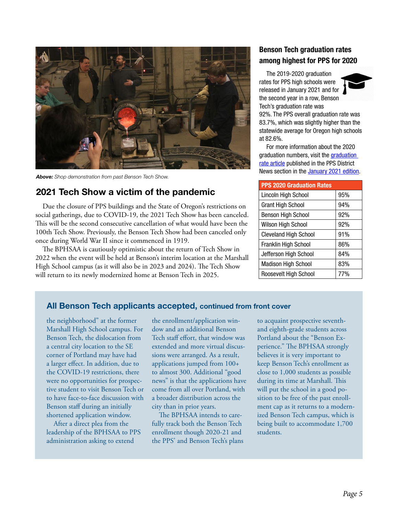

*Above: Shop demonstration from past Benson Tech Show.* 

## 2021 Tech Show a victim of the pandemic

Due the closure of PPS buildings and the State of Oregon's restrictions on social gatherings, due to COVID-19, the 2021 Tech Show has been canceled. This will be the second consecutive cancellation of what would have been the 100th Tech Show. Previously, the Benson Tech Show had been canceled only once during World War II since it commenced in 1919.

The BPHSAA is cautiously optimistic about the return of Tech Show in 2022 when the event will be held at Benson's interim location at the Marshall High School campus (as it will also be in 2023 and 2024). The Tech Show will return to its newly modernized home at Benson Tech in 2025.

## Benson Tech graduation rates among highest for PPS for 2020

The 2019-2020 graduation rates for PPS high schools were released in January 2021 and for the second year in a row, Benson Tech's graduation rate was



92%. The PPS overall graduation rate was 83.7%, which was slightly higher than the statewide average for Oregon high schools at 82.6%.

For more information about the 2020 graduation numbers, visit the graduation rate article published in the PPS District News section in the January 2021 edition.

| <b>PPS 2020 Graduation Rates</b> |     |
|----------------------------------|-----|
| Lincoln High School              | 95% |
| <b>Grant High School</b>         | 94% |
| <b>Benson High School</b>        | 92% |
| Wilson High School               | 92% |
| <b>Cleveland High School</b>     | 91% |
| Franklin High School             | 86% |
| Jefferson High School            | 84% |
| <b>Madison High School</b>       | 83% |
| Roosevelt High School            | 77% |

#### All Benson Tech applicants accepted, continued from front cover

the neighborhood" at the former Marshall High School campus. For Benson Tech, the dislocation from a central city location to the SE corner of Portland may have had a larger effect. In addition, due to the COVID-19 restrictions, there were no opportunities for prospective student to visit Benson Tech or to have face-to-face discussion with Benson staff during an initially shortened application window.

After a direct plea from the leadership of the BPHSAA to PPS administration asking to extend

the enrollment/application window and an additional Benson Tech staff effort, that window was extended and more virtual discussions were arranged. As a result, applications jumped from 100+ to almost 300. Additional "good news" is that the applications have come from all over Portland, with a broader distribution across the city than in prior years.

The BPHSAA intends to carefully track both the Benson Tech enrollment though 2020-21 and the PPS' and Benson Tech's plans

to acquaint prospective seventhand eighth-grade students across Portland about the "Benson Experience." The BPHSAA strongly believes it is very important to keep Benson Tech's enrollment as close to 1,000 students as possible during its time at Marshall. This will put the school in a good position to be free of the past enrollment cap as it returns to a modernized Benson Tech campus, which is being built to accommodate 1,700 students.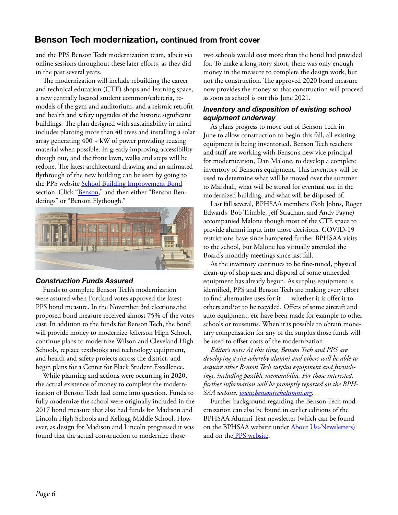## Benson Tech modernization, continued from front cover

and the PPS Benson Tech modernization team, albeit via online sessions throughout these later efforts, as they did in the past several years.

The modernization will include rebuilding the career and technical education (CTE) shops and learning space, a new centrally located student common/cafeteria, remodels of the gym and auditorium, and a seismic retrofit and health and safety upgrades of the historic significant buildings. The plan designed with sustainability in mind includes planting more than 40 trees and installing a solar array generating 400 + kW of power providing reusing material when possible. In greatly improving accessibility though out, and the front lawn, walks and steps will be redone. The latest architectural drawing and an animated flythrough of the new building can be seen by going to the PPS website **School Building Improvement Bond** section. Click "Benson," and then either "Benson Renderings" or "Benson Flythough."



#### *Construction Funds Assured*

Funds to complete Benson Tech's modernization were assured when Portland votes approved the latest PPS bond measure. In the November 3rd elections,the proposed bond measure received almost 75% of the votes cast. In addition to the funds for Benson Tech, the bond will provide money to modernize Jefferson High School, continue plans to modernize Wilson and Cleveland High Schools, replace textbooks and technology equipment, and health and safety projects across the district, and begin plans for a Center for Black Student Excellence.

While planning and actions were occurring in 2020, the actual existence of money to complete the modernization of Benson Tech had come into question. Funds to fully modernize the school were originally included in the 2017 bond measure that also had funds for Madison and Lincoln High Schools and Kellogg Middle School. However, as design for Madison and Lincoln progressed it was found that the actual construction to modernize those

two schools would cost more than the bond had provided for. To make a long story short, there was only enough money in the measure to complete the design work, but not the construction. The approved 2020 bond measure now provides the money so that construction will proceed as soon as school is out this June 2021.

#### *Inventory and disposition of existing school equipment underway*

As plans progress to move out of Benson Tech in June to allow construction to begin this fall, all existing equipment is being inventoried. Benson Tech teachers and staff are working with Benson's new vice principal for modernization, Dan Malone, to develop a complete inventory of Benson's equipment. This inventory will be used to determine what will be moved over the summer to Marshall, what will be stored for eventual use in the modernized building, and what will be disposed of.

Last fall several, BPHSAA members (Rob Johns, Roger Edwards, Bob Trimble, Jeff Strachan, and Andy Payne) accompanied Malone though most of the CTE space to provide alumni input into those decisions. COVID-19 restrictions have since hampered further BPHSAA visits to the school, but Malone has virtually attended the Board's monthly meetings since last fall.

As the inventory continues to be fine-tuned, physical clean-up of shop area and disposal of some unneeded equipment has already begun. As surplus equipment is identified, PPS and Benson Tech are making every effort to find alternative uses for it — whether it is offer it to others and/or to be recycled. Offers of some aircraft and auto equipment, etc have been made for example to other schools or museums. When it is possible to obtain monetary compensation for any of the surplus those funds will be used to offset costs of the modernization.

*Editor's note: At this time, Benson Tech and PPS are developing a site whereby alumni and others will be able to acquire other Benson Tech surplus equipment and furnishings, including possible memorabilia. For those interested, further information will be promptly reported on the BPH-SAA website, www.bensontechalumni.org.*

Further background regarding the Benson Tech modernization can also be found in earlier editions of the BPHSAA Alumni Text newsletter (which can be found on the BPHSAA website under **About Us>Newsletters**) and on the PPS website.